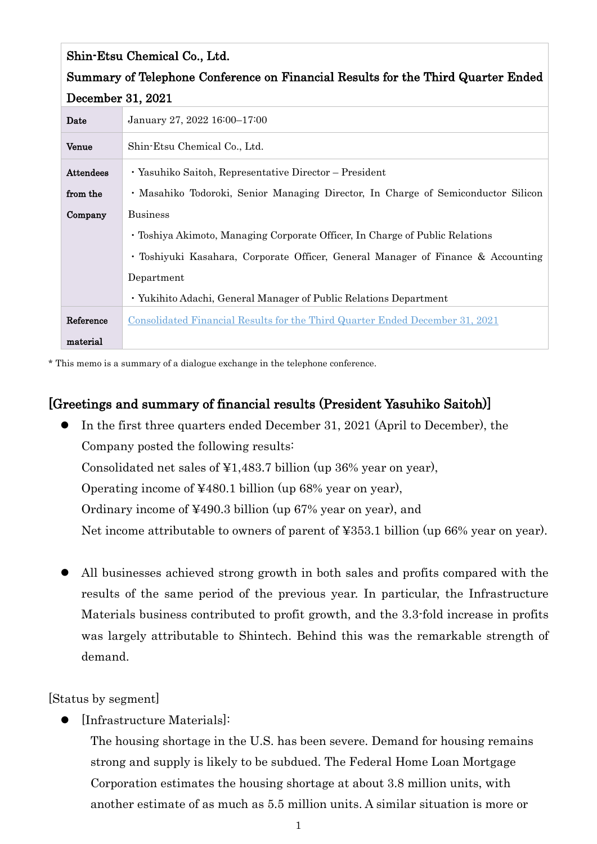| Shin-Etsu Chemical Co., Ltd.                                                     |                                                                                   |  |
|----------------------------------------------------------------------------------|-----------------------------------------------------------------------------------|--|
| Summary of Telephone Conference on Financial Results for the Third Quarter Ended |                                                                                   |  |
| December 31, 2021                                                                |                                                                                   |  |
| Date                                                                             | January 27, 2022 16:00-17:00                                                      |  |
| Venue                                                                            | Shin-Etsu Chemical Co., Ltd.                                                      |  |
| <b>Attendees</b>                                                                 | · Yasuhiko Saitoh, Representative Director – President                            |  |
| from the                                                                         | • Masahiko Todoroki, Senior Managing Director, In Charge of Semiconductor Silicon |  |
| Company                                                                          | <b>Business</b>                                                                   |  |
|                                                                                  | • Toshiya Akimoto, Managing Corporate Officer, In Charge of Public Relations      |  |
|                                                                                  | • Toshiyuki Kasahara, Corporate Officer, General Manager of Finance & Accounting  |  |
|                                                                                  | Department                                                                        |  |
|                                                                                  | • Yukihito Adachi, General Manager of Public Relations Department                 |  |
| Reference                                                                        | Consolidated Financial Results for the Third Quarter Ended December 31, 2021      |  |
| material                                                                         |                                                                                   |  |

\* This memo is a summary of a dialogue exchange in the telephone conference.

## [Greetings and summary of financial results (President Yasuhiko Saitoh)]

- In the first three quarters ended December 31, 2021 (April to December), the Company posted the following results: Consolidated net sales of ¥1,483.7 billion (up 36% year on year), Operating income of ¥480.1 billion (up 68% year on year), Ordinary income of ¥490.3 billion (up 67% year on year), and Net income attributable to owners of parent of ¥353.1 billion (up 66% year on year).
- All businesses achieved strong growth in both sales and profits compared with the results of the same period of the previous year. In particular, the Infrastructure Materials business contributed to profit growth, and the 3.3-fold increase in profits was largely attributable to Shintech. Behind this was the remarkable strength of demand.

[Status by segment]

- [Infrastructure Materials]:
	- The housing shortage in the U.S. has been severe. Demand for housing remains strong and supply is likely to be subdued. The Federal Home Loan Mortgage Corporation estimates the housing shortage at about 3.8 million units, with another estimate of as much as 5.5 million units. A similar situation is more or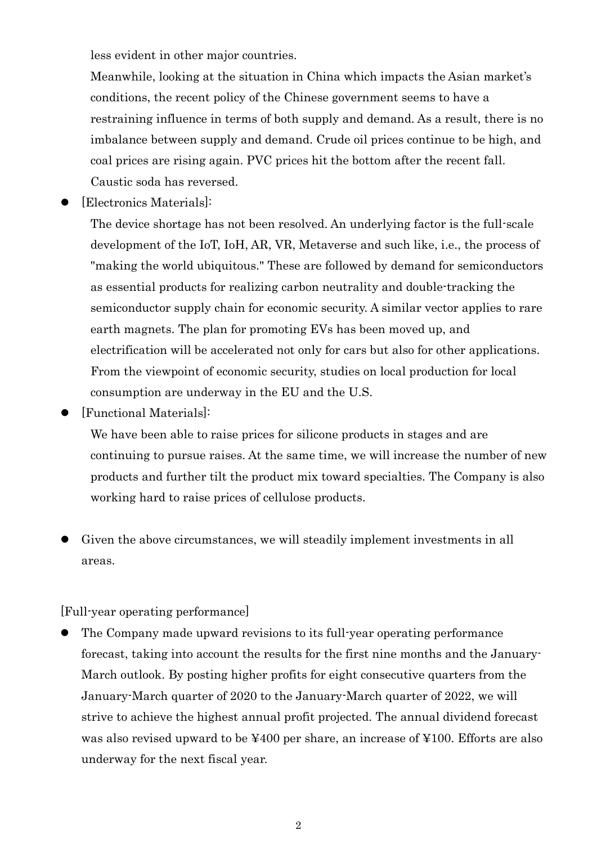less evident in other major countries.

Meanwhile, looking at the situation in China which impacts the Asian market's conditions, the recent policy of the Chinese government seems to have a restraining influence in terms of both supply and demand. As a result, there is no imbalance between supply and demand. Crude oil prices continue to be high, and coal prices are rising again. PVC prices hit the bottom after the recent fall. Caustic soda has reversed.

[Electronics Materials]:

The device shortage has not been resolved. An underlying factor is the full-scale development of the IoT, IoH, AR, VR, Metaverse and such like, i.e., the process of "making the world ubiquitous." These are followed by demand for semiconductors as essential products for realizing carbon neutrality and double-tracking the semiconductor supply chain for economic security. A similar vector applies to rare earth magnets. The plan for promoting EVs has been moved up, and electrification will be accelerated not only for cars but also for other applications. From the viewpoint of economic security, studies on local production for local consumption are underway in the EU and the U.S.

[Functional Materials]:

We have been able to raise prices for silicone products in stages and are continuing to pursue raises. At the same time, we will increase the number of new products and further tilt the product mix toward specialties. The Company is also working hard to raise prices of cellulose products.

 Given the above circumstances, we will steadily implement investments in all areas.

[Full-year operating performance]

 The Company made upward revisions to its full-year operating performance forecast, taking into account the results for the first nine months and the January-March outlook. By posting higher profits for eight consecutive quarters from the January-March quarter of 2020 to the January-March quarter of 2022, we will strive to achieve the highest annual profit projected. The annual dividend forecast was also revised upward to be ¥400 per share, an increase of ¥100. Efforts are also underway for the next fiscal year.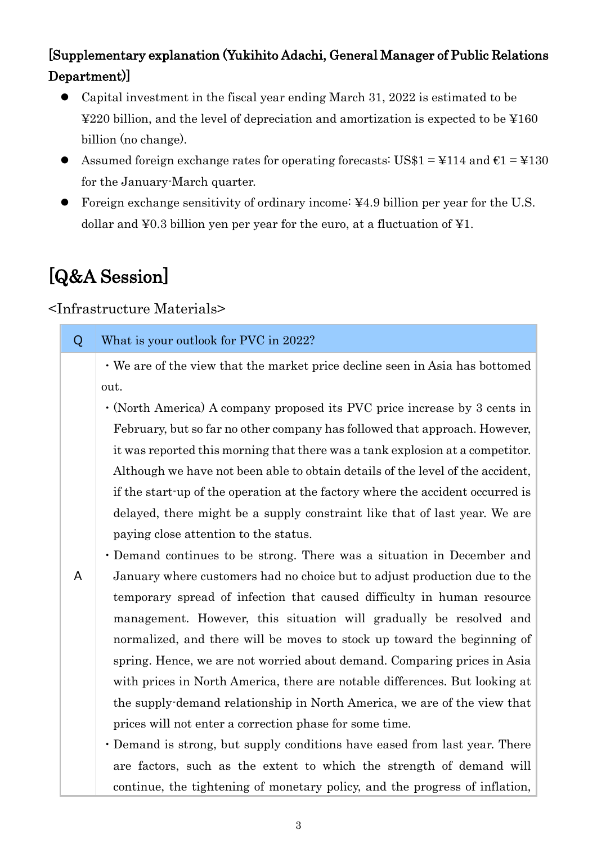# [Supplementary explanation (Yukihito Adachi, General Manager of Public Relations Department)]

- Capital investment in the fiscal year ending March 31, 2022 is estimated to be ¥220 billion, and the level of depreciation and amortization is expected to be ¥160 billion (no change).
- Assumed foreign exchange rates for operating forecasts: US\$1 =  $\text{\textsterling}114$  and  $\text{\textsterling}1 = \text{\textsterling}130$ for the January-March quarter.
- Foreign exchange sensitivity of ordinary income: ¥4.9 billion per year for the U.S. dollar and ¥0.3 billion yen per year for the euro, at a fluctuation of ¥1.

# [Q&A Session]

## <Infrastructure Materials>

| Q | What is your outlook for PVC in 2022?                                           |
|---|---------------------------------------------------------------------------------|
|   | • We are of the view that the market price decline seen in Asia has bottomed    |
|   | out.                                                                            |
|   | $\cdot$ (North America) A company proposed its PVC price increase by 3 cents in |
|   | February, but so far no other company has followed that approach. However,      |
|   | it was reported this morning that there was a tank explosion at a competitor.   |
|   | Although we have not been able to obtain details of the level of the accident,  |
|   | if the start-up of the operation at the factory where the accident occurred is  |
|   | delayed, there might be a supply constraint like that of last year. We are      |
|   | paying close attention to the status.                                           |
|   | • Demand continues to be strong. There was a situation in December and          |
| A | January where customers had no choice but to adjust production due to the       |
|   | temporary spread of infection that caused difficulty in human resource          |
|   | management. However, this situation will gradually be resolved and              |
|   | normalized, and there will be moves to stock up toward the beginning of         |
|   | spring. Hence, we are not worried about demand. Comparing prices in Asia        |
|   | with prices in North America, there are notable differences. But looking at     |
|   | the supply-demand relationship in North America, we are of the view that        |
|   | prices will not enter a correction phase for some time.                         |
|   | • Demand is strong, but supply conditions have eased from last year. There      |
|   | are factors, such as the extent to which the strength of demand will            |
|   | continue, the tightening of monetary policy, and the progress of inflation,     |
|   |                                                                                 |
|   | $\boldsymbol{3}$                                                                |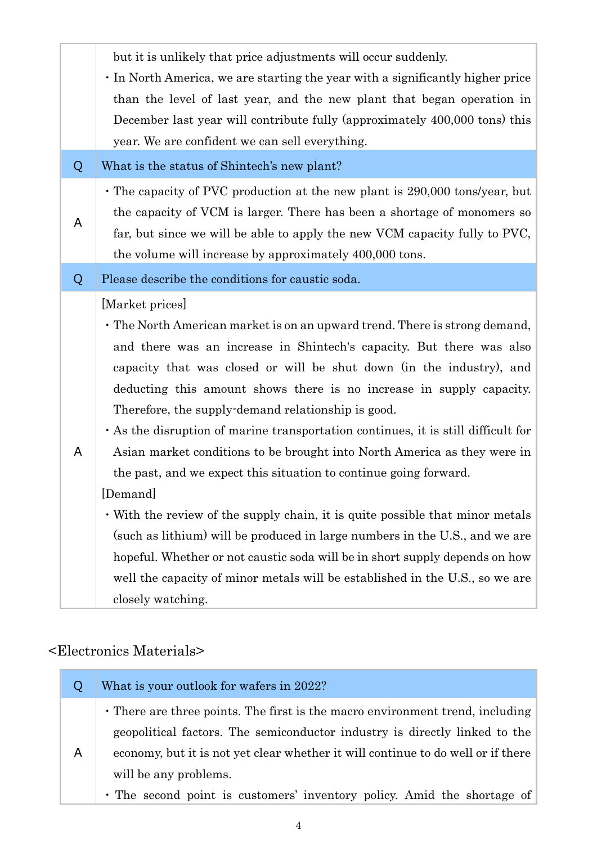|   | but it is unlikely that price adjustments will occur suddenly.                    |
|---|-----------------------------------------------------------------------------------|
|   | In North America, we are starting the year with a significantly higher price      |
|   | than the level of last year, and the new plant that began operation in            |
|   | December last year will contribute fully (approximately 400,000 tons) this        |
|   | year. We are confident we can sell everything.                                    |
| Q | What is the status of Shintech's new plant?                                       |
|   | • The capacity of PVC production at the new plant is 290,000 tons/year, but       |
| A | the capacity of VCM is larger. There has been a shortage of monomers so           |
|   | far, but since we will be able to apply the new VCM capacity fully to PVC,        |
|   | the volume will increase by approximately 400,000 tons.                           |
| Q | Please describe the conditions for caustic soda.                                  |
|   | [Market prices]                                                                   |
|   | • The North American market is on an upward trend. There is strong demand,        |
|   | and there was an increase in Shintech's capacity. But there was also              |
|   | capacity that was closed or will be shut down (in the industry), and              |
|   | deducting this amount shows there is no increase in supply capacity.              |
|   | Therefore, the supply-demand relationship is good.                                |
|   | • As the disruption of marine transportation continues, it is still difficult for |
| A | Asian market conditions to be brought into North America as they were in          |
|   | the past, and we expect this situation to continue going forward.                 |
|   | [Demand]                                                                          |
|   | • With the review of the supply chain, it is quite possible that minor metals     |
|   | (such as lithium) will be produced in large numbers in the U.S., and we are       |
|   | hopeful. Whether or not caustic soda will be in short supply depends on how       |
|   | well the capacity of minor metals will be established in the U.S., so we are      |
|   | closely watching.                                                                 |

# <Electronics Materials>

|   | What is your outlook for wafers in 2022?                                                                                                                                                                                                                                                                                                            |
|---|-----------------------------------------------------------------------------------------------------------------------------------------------------------------------------------------------------------------------------------------------------------------------------------------------------------------------------------------------------|
| A | • There are three points. The first is the macro environment trend, including<br>geopolitical factors. The semiconductor industry is directly linked to the<br>economy, but it is not yet clear whether it will continue to do well or if there<br>will be any problems.<br>• The second point is customers' inventory policy. Amid the shortage of |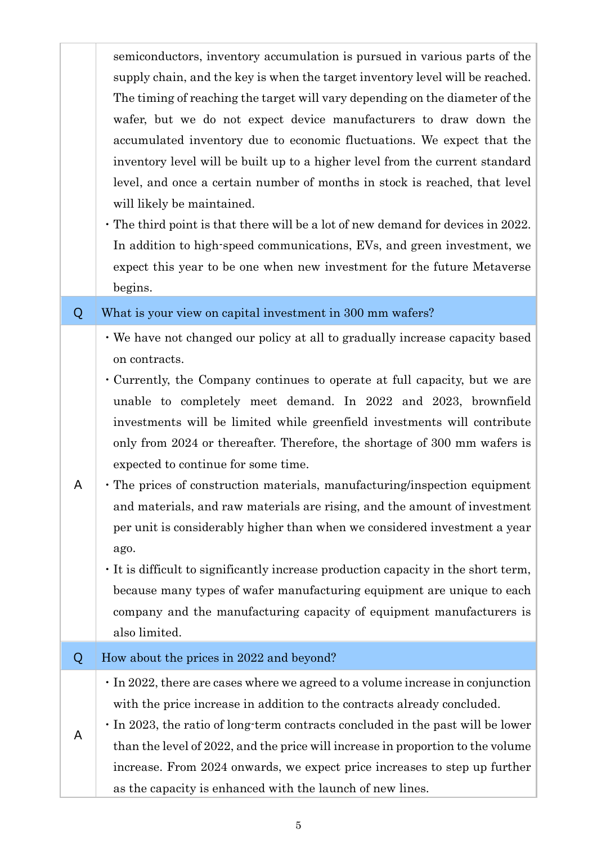| semiconductors, inventory accumulation is pursued in various parts of the     |
|-------------------------------------------------------------------------------|
| supply chain, and the key is when the target inventory level will be reached. |
| The timing of reaching the target will vary depending on the diameter of the  |
| wafer, but we do not expect device manufacturers to draw down the             |
| accumulated inventory due to economic fluctuations. We expect that the        |
| inventory level will be built up to a higher level from the current standard  |
| level, and once a certain number of months in stock is reached, that level    |
| will likely be maintained.                                                    |

・The third point is that there will be a lot of new demand for devices in 2022. In addition to high-speed communications, EVs, and green investment, we expect this year to be one when new investment for the future Metaverse begins.

#### Q What is your view on capital investment in 300 mm wafers?

- ・We have not changed our policy at all to gradually increase capacity based on contracts.
- ・Currently, the Company continues to operate at full capacity, but we are unable to completely meet demand. In 2022 and 2023, brownfield investments will be limited while greenfield investments will contribute only from 2024 or thereafter. Therefore, the shortage of 300 mm wafers is expected to continue for some time.
- A ・The prices of construction materials, manufacturing/inspection equipment and materials, and raw materials are rising, and the amount of investment per unit is considerably higher than when we considered investment a year ago.
	- ・It is difficult to significantly increase production capacity in the short term, because many types of wafer manufacturing equipment are unique to each company and the manufacturing capacity of equipment manufacturers is also limited.

#### Q How about the prices in 2022 and beyond?

- ・In 2022, there are cases where we agreed to a volume increase in conjunction with the price increase in addition to the contracts already concluded.
- A ・In 2023, the ratio of long-term contracts concluded in the past will be lower than the level of 2022, and the price will increase in proportion to the volume increase. From 2024 onwards, we expect price increases to step up further as the capacity is enhanced with the launch of new lines.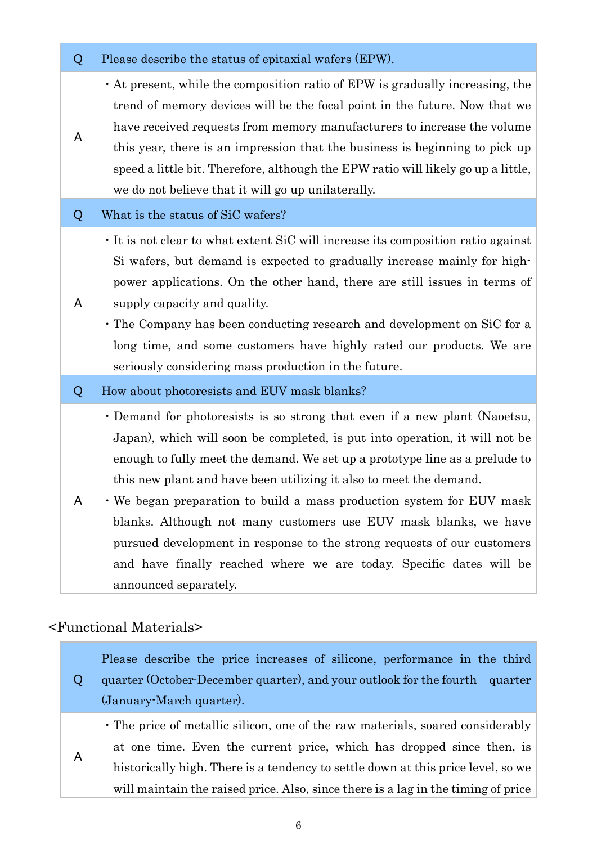| Q | Please describe the status of epitaxial wafers (EPW).                                                                                                                                                                                                                                                                                                                                                                                                                                                                                                                                                                                 |
|---|---------------------------------------------------------------------------------------------------------------------------------------------------------------------------------------------------------------------------------------------------------------------------------------------------------------------------------------------------------------------------------------------------------------------------------------------------------------------------------------------------------------------------------------------------------------------------------------------------------------------------------------|
| A | • At present, while the composition ratio of EPW is gradually increasing, the<br>trend of memory devices will be the focal point in the future. Now that we<br>have received requests from memory manufacturers to increase the volume<br>this year, there is an impression that the business is beginning to pick up<br>speed a little bit. Therefore, although the EPW ratio will likely go up a little,<br>we do not believe that it will go up unilaterally.                                                                                                                                                                      |
| Q | What is the status of SiC wafers?                                                                                                                                                                                                                                                                                                                                                                                                                                                                                                                                                                                                     |
| A | It is not clear to what extent SiC will increase its composition ratio against<br>Si wafers, but demand is expected to gradually increase mainly for high-<br>power applications. On the other hand, there are still issues in terms of<br>supply capacity and quality.<br>• The Company has been conducting research and development on SiC for a<br>long time, and some customers have highly rated our products. We are<br>seriously considering mass production in the future.                                                                                                                                                    |
| Q | How about photoresists and EUV mask blanks?                                                                                                                                                                                                                                                                                                                                                                                                                                                                                                                                                                                           |
| A | • Demand for photoresists is so strong that even if a new plant (Naoetsu,<br>Japan), which will soon be completed, is put into operation, it will not be<br>enough to fully meet the demand. We set up a prototype line as a prelude to<br>this new plant and have been utilizing it also to meet the demand.<br>. We began preparation to build a mass production system for EUV mask<br>blanks. Although not many customers use EUV mask blanks, we have<br>pursued development in response to the strong requests of our customers<br>and have finally reached where we are today. Specific dates will be<br>announced separately. |

# <Functional Materials>

i.

| Ő | Please describe the price increases of silicone, performance in the third         |
|---|-----------------------------------------------------------------------------------|
|   | quarter (October-December quarter), and your outlook for the fourth quarter       |
|   | (January-March quarter).                                                          |
| Α | • The price of metallic silicon, one of the raw materials, soared considerably    |
|   | at one time. Even the current price, which has dropped since then, is             |
|   | historically high. There is a tendency to settle down at this price level, so we  |
|   | will maintain the raised price. Also, since there is a lag in the timing of price |
|   |                                                                                   |